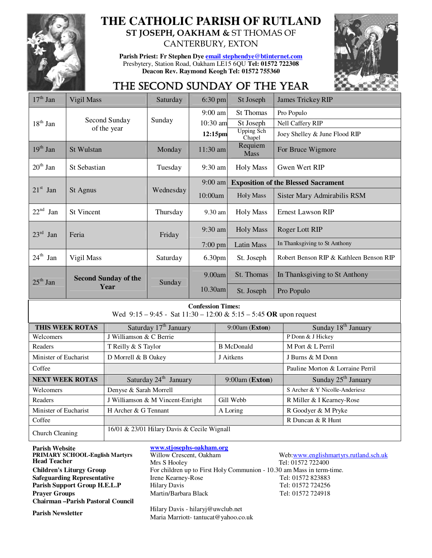

## **THE CATHOLIC PARISH OF RUTLAND ST JOSEPH, OAKHAM &** ST THOMAS OF

CANTERBURY, EXTON

**Parish Priest: Fr Stephen Dye email stephendye@btinternet.com** Presbytery, Station Road, Oakham LE15 6QU **Tel: 01572 722308 Deacon Rev. Raymond Keogh Tel: 01572 755360** 



# THE SECOND SUNDAY OF THE YEAR

| $17th$ Jan                                                                                         | Vigil Mass                          |                                   | Saturday  | $6:30$ pm  |                                    | St Joseph                                  | <b>James Trickey RIP</b>                |  |
|----------------------------------------------------------------------------------------------------|-------------------------------------|-----------------------------------|-----------|------------|------------------------------------|--------------------------------------------|-----------------------------------------|--|
|                                                                                                    | Second Sunday<br>of the year        |                                   |           | $9:00$ am  | <b>St Thomas</b>                   |                                            | Pro Populo                              |  |
| $18th$ Jan                                                                                         |                                     |                                   | Sunday    | 10:30 am   |                                    | St Joseph                                  | Nell Caffery RIP                        |  |
|                                                                                                    |                                     |                                   |           | 12:15pm    |                                    | <b>Upping Sch</b><br>Chapel                | Joey Shelley & June Flood RIP           |  |
| $19th$ Jan                                                                                         | <b>St Wulstan</b>                   |                                   | Monday    |            | Requiem<br>11:30 am<br><b>Mass</b> |                                            | For Bruce Wigmore                       |  |
| $20^{\text{th}}$ Jan                                                                               | St Sebastian                        |                                   | Tuesday   |            | 9:30 am<br><b>Holy Mass</b>        |                                            | Gwen Wert RIP                           |  |
|                                                                                                    | St Agnus                            |                                   | Wednesday | $9:00$ am  |                                    | <b>Exposition of the Blessed Sacrament</b> |                                         |  |
| $21st$ Jan                                                                                         |                                     |                                   |           | 10:00am    |                                    | <b>Holy Mass</b>                           | Sister Mary Admirabilis RSM             |  |
| $22^{nd}$ Jan                                                                                      | <b>St Vincent</b>                   |                                   | Thursday  |            | <b>Holy Mass</b><br>9.30 am        |                                            | <b>Ernest Lawson RIP</b>                |  |
| $23rd$ Jan                                                                                         | Feria                               |                                   |           | $9:30$ am  | <b>Holy Mass</b>                   |                                            | Roger Lott RIP                          |  |
|                                                                                                    |                                     |                                   | Friday    | $7:00$ pm  |                                    | <b>Latin Mass</b>                          | In Thanksgiving to St Anthony           |  |
| $24^{\text{th}}$ Jan                                                                               | Vigil Mass                          |                                   | Saturday  | 6.30pm     |                                    | St. Joseph                                 | Robert Benson RIP & Kathleen Benson RIP |  |
| $25th$ Jan                                                                                         | <b>Second Sunday of the</b><br>Year |                                   | Sunday    | 9.00am     |                                    | St. Thomas                                 | In Thanksgiving to St Anthony           |  |
|                                                                                                    |                                     |                                   |           | $10.30$ am |                                    | St. Joseph                                 | Pro Populo                              |  |
| <b>Confession Times:</b><br>Wed $9:15 - 9:45 -$ Sat $11:30 - 12:00 \& 5:15 - 5:45$ OR upon request |                                     |                                   |           |            |                                    |                                            |                                         |  |
|                                                                                                    | THIS WEEK ROTAS                     | Saturday 17 <sup>th</sup> January |           |            | 9:00am (Exton)                     |                                            | Sunday 18 <sup>th</sup> January         |  |
| Welcomers                                                                                          |                                     | J Williamson & C Berrie           |           |            |                                    |                                            | P Donn & J Hickey                       |  |
| Readers                                                                                            |                                     | T Reilly & S Taylor               |           |            | <b>B</b> McDonald                  |                                            | M Port & L Perril                       |  |

Church Cleaning 16/01 & 23/01 Hilary Davis & Cecile Wignall **Parish Website**<br> **PRIMARY SCHOOL-English Martyrs**Willow Crescent, Oakham **PRIMARY SCHOOL-English Martyrs Head Teacher Safeguarding Representative Chairman –Parish Pastoral Council**

Minister of Eucharist D Morrell & B Oakey J Aitkens J Burns & M Donn

**Coffee Pauline Morton & Lorraine Perril** Pauline Morton & Lorraine Perril **NEXT WEEK ROTAS** Saturday 24<sup>th</sup> January 9:00am (**Exton**) Sunday 25<sup>th</sup> January Welcomers Denyse & Sarah Morrell S Archer & Y Nicolle-Anderiesz Readers J Williamson & M Vincent-Enright Gill Webb R Miller & I Kearney-Rose Minister of Eucharist H Archer & G Tennant A Loring R Goodyer & M Pryke **Coffee Corresponding the Corresponding Corresponding to the Corresponding Corresponding R Duncan & R Hunt** 

Web:www.englishmartyrs.rutland.sch.uk Mrs S Hooley Tel: 01572 722400 **Children's Liturgy Group** For children up to First Holy Communion - 10.30 am Mass in term-time.<br> **Safeguarding Representative** Irene Kearney-Rose Tel: 01572 823883 **Parish Support Group H.E.L.P** Hilary Davis Tel: 01572 724256 **Prayer Groups** Martin/Barbara Black Tel: 01572 724918

**Parish Newsletter Hilary Davis - hilaryj@uwclub.net** Maria Marriott- tantucat@yahoo.co.uk